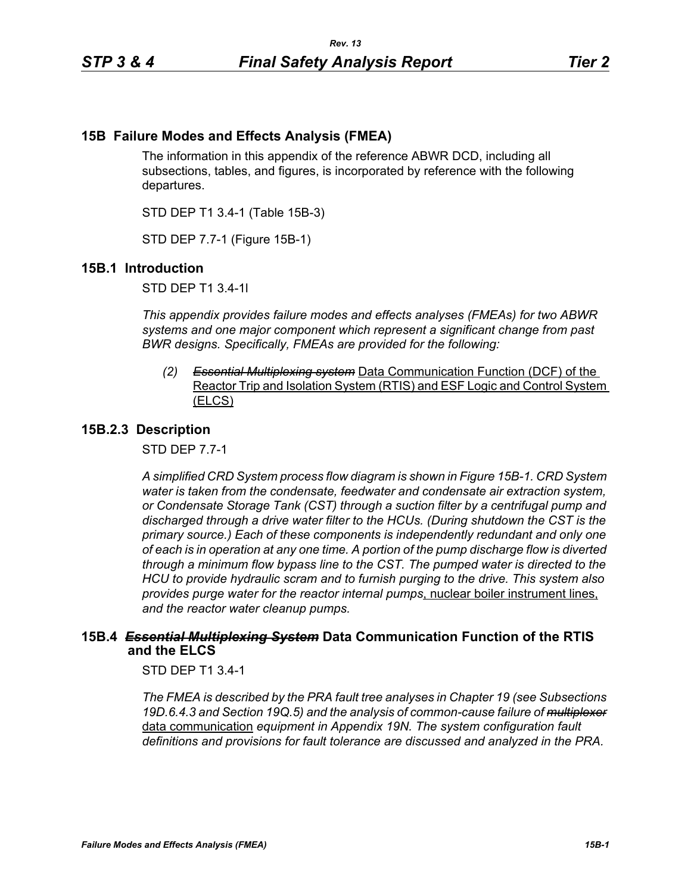# **15B Failure Modes and Effects Analysis (FMEA)**

The information in this appendix of the reference ABWR DCD, including all subsections, tables, and figures, is incorporated by reference with the following departures.

STD DEP T1 3.4-1 (Table 15B-3)

STD DEP 7.7-1 (Figure 15B-1)

# **15B.1 Introduction**

STD DEP T1 3.4-1l

*This appendix provides failure modes and effects analyses (FMEAs) for two ABWR systems and one major component which represent a significant change from past BWR designs. Specifically, FMEAs are provided for the following:*

*(2) Essential Multiplexing system* Data Communication Function (DCF) of the Reactor Trip and Isolation System (RTIS) and ESF Logic and Control System (ELCS)

### **15B.2.3 Description**

STD DEP 7.7-1

*A simplified CRD System process flow diagram is shown in Figure [15B-1.](#page-2-0) CRD System water is taken from the condensate, feedwater and condensate air extraction system, or Condensate Storage Tank (CST) through a suction filter by a centrifugal pump and discharged through a drive water filter to the HCUs. (During shutdown the CST is the primary source.) Each of these components is independently redundant and only one of each is in operation at any one time. A portion of the pump discharge flow is diverted through a minimum flow bypass line to the CST. The pumped water is directed to the HCU to provide hydraulic scram and to furnish purging to the drive. This system also provides purge water for the reactor internal pumps*, nuclear boiler instrument lines, *and the reactor water cleanup pumps.*

# **15B.4** *Essential Multiplexing System* **Data Communication Function of the RTIS and the ELCS**

STD DEP T1 3.4-1

*The FMEA is described by the PRA fault tree analyses in Chapter 19 (see Subsections 19D.6.4.3 and Section 19Q.5) and the analysis of common-cause failure of multiplexer* data communication *equipment in Appendix 19N. The system configuration fault definitions and provisions for fault tolerance are discussed and analyzed in the PRA.*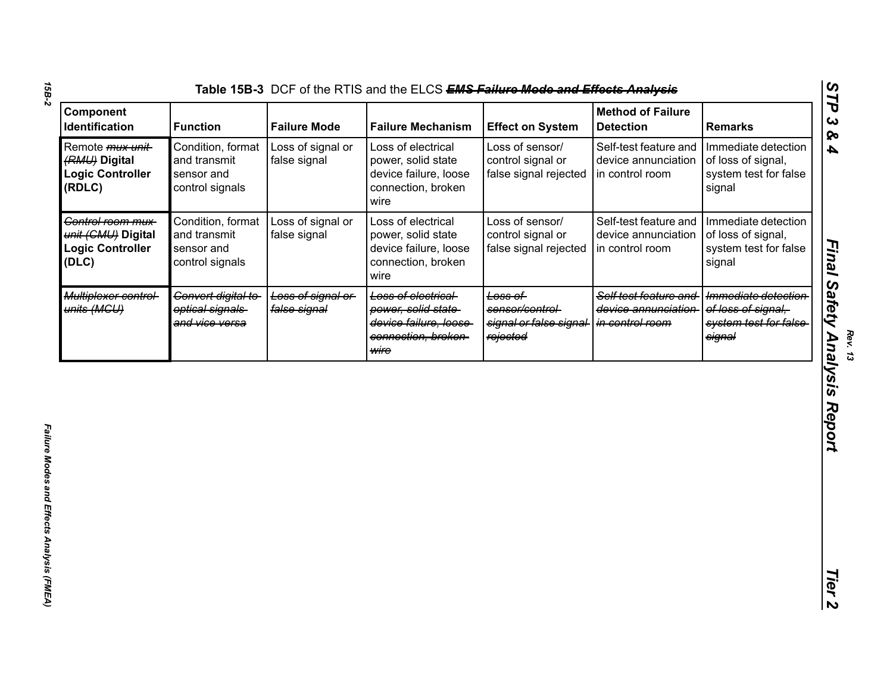| Component<br><b>Identification</b>                                             | <b>Function</b>                                                    | <b>Failure Mode</b>               | <b>Failure Mechanism</b>                                                                                 | <b>Effect on System</b>                                           | <b>Method of Failure</b><br><b>Detection</b>                    | <b>Remarks</b>                                                               |
|--------------------------------------------------------------------------------|--------------------------------------------------------------------|-----------------------------------|----------------------------------------------------------------------------------------------------------|-------------------------------------------------------------------|-----------------------------------------------------------------|------------------------------------------------------------------------------|
| Remote <i>mux unit</i> -<br>(RMU) Digital<br><b>Logic Controller</b><br>(RDLC) | Condition, format<br>and transmit<br>sensor and<br>control signals | Loss of signal or<br>false signal | Loss of electrical<br>power, solid state<br>device failure, loose<br>connection, broken<br>wire          | Loss of sensor/<br>control signal or<br>false signal rejected     | Self-test feature and<br>device annunciation<br>in control room | Immediate detection<br>of loss of signal,<br>system test for false<br>signal |
| Control room mux-<br>unit (CMU) Digital<br><b>Logic Controller</b><br>(DLC)    | Condition, format<br>and transmit<br>sensor and<br>control signals | Loss of signal or<br>false signal | Loss of electrical<br>power, solid state<br>device failure, loose<br>connection, broken<br>wire          | Loss of sensor/<br>control signal or<br>false signal rejected     | Self-test feature and<br>device annunciation<br>in control room | Immediate detection<br>of loss of signal,<br>system test for false<br>signal |
| Multiplexer control-<br>units (MGU)                                            | Convert digital to-<br>optical signals<br>and vice versa           | Loss of signal or<br>false signal | <b>Loss of electrical</b><br>power, solid state-<br>device failure, loose<br>connection, broken-<br>wire | Loss of<br>sensor/control-<br>signal or false signal-<br>rejected | Self test feature and<br>device annunciation<br>in control room | Immediate detection<br>of loss of signal,<br>system test for false<br>signal |
|                                                                                |                                                                    |                                   |                                                                                                          |                                                                   |                                                                 |                                                                              |
|                                                                                |                                                                    |                                   |                                                                                                          |                                                                   |                                                                 |                                                                              |
|                                                                                |                                                                    |                                   |                                                                                                          |                                                                   |                                                                 |                                                                              |

*Final Safety Analysis Report*